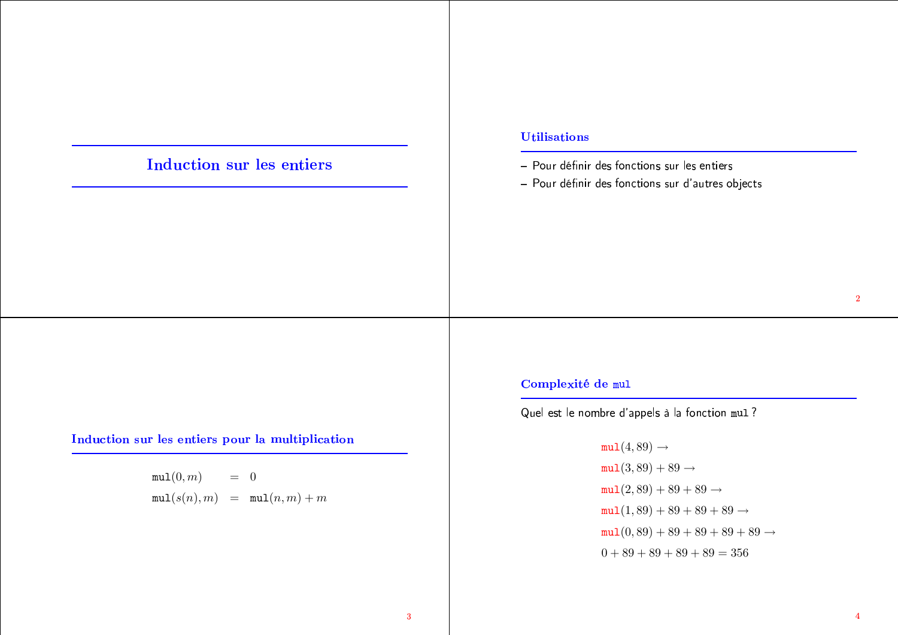# **Induction sur les entiers**

### **Utilisations**

- Pour définir des fonctions sur les entiers
- Pour définir des fonctions sur d'autres objects

Induction sur les entiers pour la multiplication

 $mu1(0,m)$  $= 0$  $mul(s(n), m) = mul(n, m) + m$ 

#### $\overline{2}$

# Complexité de mul

Quel est le nombre d'appels à la fonction mul ?

 $mu1(4,89) \rightarrow$  $mul(3, 89) + 89 \rightarrow$  $mul(2,89) + 89 + 89 \rightarrow$  $mu1(1,89) + 89 + 89 + 89 \rightarrow$  $mul(0, 89) + 89 + 89 + 89 + 89 \rightarrow$  $0+89+89+89+89=356$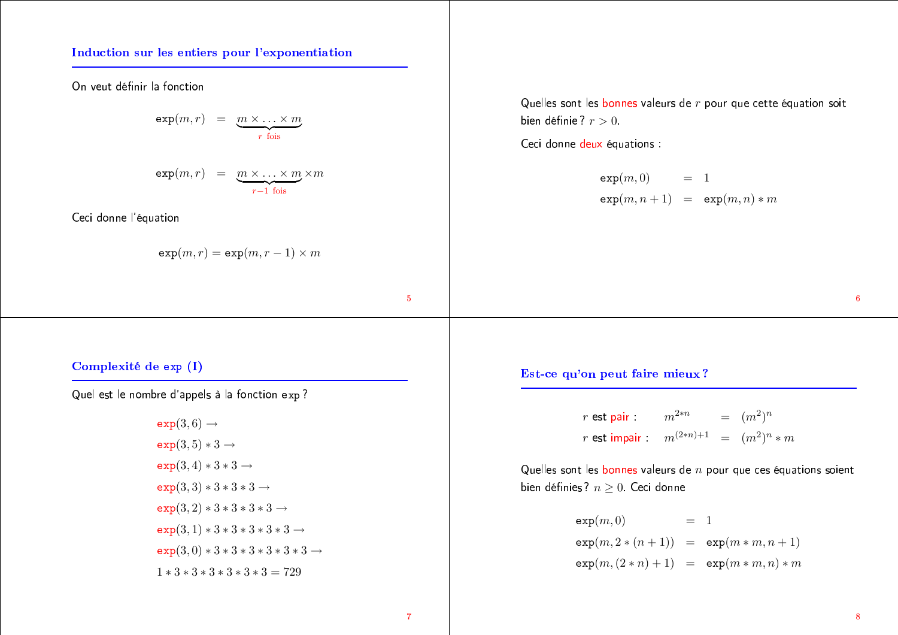# Induction sur les entiers pour l'exponentiatient<br>
de la contration de la contration de la contration de la contration de la contration de la contration de la contration de la contration de la contration de la contration de duction sur les entiers<br>
In veut définir la fonction

On veut définir la fonction

$$
\exp(m,r) = \underbrace{m \times \ldots \times m}_{r \text{ fois}}
$$

$$
\exp(m,r) = \underbrace{m \times \ldots \times m}_{r-1 \text{ fois}} \times m
$$

Ceci donne l'équation

$$
\exp(m,r) = \exp(m,r-1) \times m
$$

Complexité de exp (I)

Quel est le nombre d'appels à la fonction exp?

$$
exp(3,6) \rightarrow
$$
  
\n
$$
exp(3,5) * 3 \rightarrow
$$
  
\n
$$
exp(3,4) * 3 * 3 \rightarrow
$$
  
\n
$$
exp(3,3) * 3 * 3 * 3 \rightarrow
$$
  
\n
$$
exp(3,2) * 3 * 3 * 3 * 3 \rightarrow
$$
  
\n
$$
exp(3,1) * 3 * 3 * 3 * 3 * 3 \rightarrow
$$
  
\n
$$
exp(3,0) * 3 * 3 * 3 * 3 * 3 * 3 \rightarrow
$$
  
\n
$$
1 * 3 * 3 * 3 * 3 * 3 * 3 = 729
$$

 $\mathsf Q$ uelles sont les bonnes valeurs de  $r$  pour que cette équation so bien définie?  $r > 0$ 

Ceci donne deux équations :

 $\exp(m, 0)$  = 1  $exp(m, n + 1) = exp(m, n) * m$ 

Est-ce qu'on peut faire mieux?

$$
r \text{ est pair}: \qquad m^{2*n} = (m^2)^n
$$
  

$$
r \text{ est impair}: \qquad m^{(2*n)+1} = (m^2)^n * m
$$
  
Quelles sont les bonnes valeurs de *n* pour que ces équations soie

bien définies?  $n \geq 0$ . Ceci donne

$$
\begin{aligned}\n\exp(m,0) &= 1 \\
\exp(m,2*(n+1)) &= \exp(m*m,n+1) \\
\exp(m,(2*n)+1) &= \exp(m*m,n)*m\n\end{aligned}
$$

  $\overline{7}$ 

 $\overline{a}$ 

 $5^{\circ}$ 

8

 $6\overline{6}$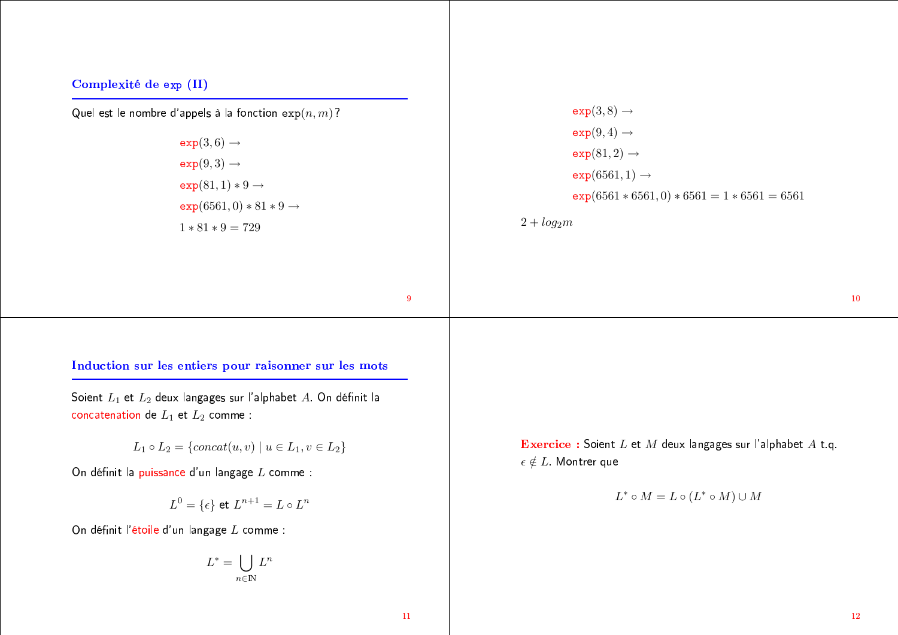| Complexité de exp (II)<br>Quel est le nombre d'appels à la fonction $exp(n, m)$ ?<br>$exp(3,6) \rightarrow$<br>$exp(9,3) \rightarrow$<br>$exp(81,1)*9 \rightarrow$<br>$exp(6561,0)*81*9 \rightarrow$<br>$1 * 81 * 9 = 729$ | $exp(3,8) \rightarrow$<br>$exp(9, 4) \rightarrow$<br>$exp(81,2) \rightarrow$<br>$exp(6561, 1) \rightarrow$<br>$\exp(6561 * 6561, 0) * 6561 = 1 * 6561 = 6561$<br>$2 + log_2 m$ |
|----------------------------------------------------------------------------------------------------------------------------------------------------------------------------------------------------------------------------|--------------------------------------------------------------------------------------------------------------------------------------------------------------------------------|
| 9                                                                                                                                                                                                                          | 10                                                                                                                                                                             |
| Induction sur les entiers pour raisonner sur les mots<br>Soient $L_1$ et $L_2$ deux langages sur l'alphabet A. On définit la<br>concatenation de $L_1$ et $L_2$ comme:                                                     |                                                                                                                                                                                |
| $L_1 \circ L_2 = \{concat(u, v) \mid u \in L_1, v \in L_2\}$<br>On définit la puissance d'un langage $L$ comme :<br>$L^0 = \{\epsilon\}$ et $L^{n+1} = L \circ L^n$                                                        | <b>Exercice :</b> Soient $L$ et $M$ deux langages sur l'alphabet $A$ t.q.<br>$\epsilon \notin L$ . Montrer que<br>$L^* \circ M = L \circ (L^* \circ M) \cup M$                 |
| On définit l'étoile d'un langage L comme :                                                                                                                                                                                 |                                                                                                                                                                                |

 $\overline{11}$ 

 $L^* = \bigcup_{n \in \mathbb{N}} L^n$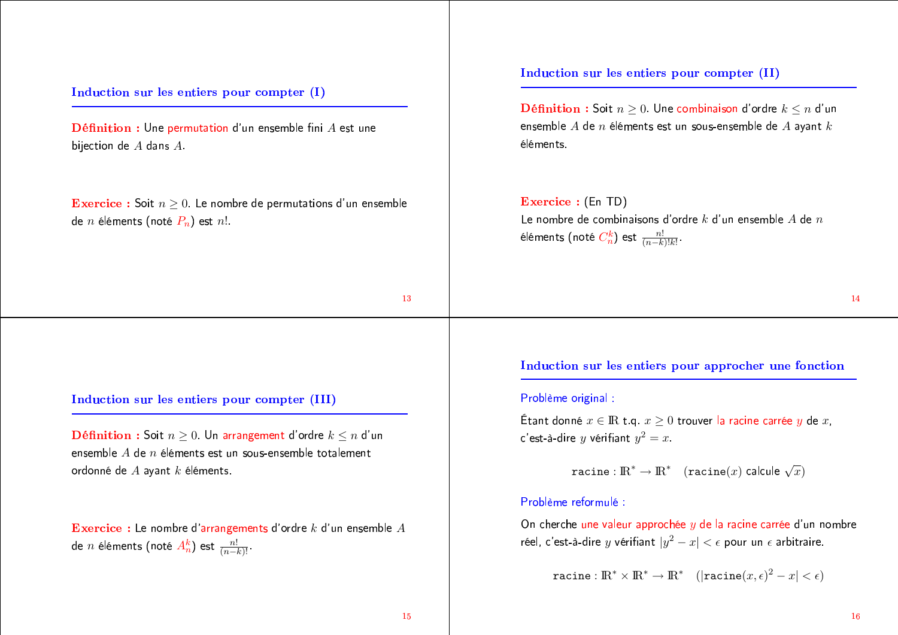# Induction sur les entiers pour compter (I)

**Définition** : Une permutation d'un ensemble fini  $A$  est une bijection de  $A$  dans  $A$ .

**Exercice**: Soit  $n \geq 0$ . Le nombre de permutations d'un ensemble de *n* éléments (noté  $P_n$ ) est *n*!

#### Induction sur les entiers pour compter (II)

**Définition :** Soit  $n > 0$ . Une combinaison d'ordre  $k \leq n$  d'un ensemble  $A$  de  $n$  éléments est un sous-ensemble de  $A$  ayant  $k$ éléments

#### Exercice: (En TD)

Le nombre de combinaisons d'ordre  $k$  d'un ensemble  $A$  de  $n$ éléments (noté  $C_n^k$ ) est  $\frac{n!}{(n-k)!k!}$ .

 $14$ 

#### Induction sur les entiers pour approcher une fonction

#### Problème original :

Étant donné  $x \in \mathbb{R}$  t.g.  $x \geq 0$  trouver la racine carrée y de x, c'est-à-dire y vérifiant  $y^2 = x$ .

racine:  $\mathbb{R}^* \to \mathbb{R}^*$  (racine(x) calcule  $\sqrt{x}$ )

# Problème reformulé :

On cherche une valeur approchée  $y$  de la racine carrée d'un nombre réel, c'est-à-dire y vérifiant  $|y^2 - x| < \epsilon$  pour un  $\epsilon$  arbitraire.

racine:  $\mathbb{R}^* \times \mathbb{R}^* \to \mathbb{R}^*$  (|racine(x,  $\epsilon$ )<sup>2</sup> - x| <  $\epsilon$ )

#### Induction sur les entiers pour compter (III)

**Définition :** Soit  $n > 0$ . Un arrangement d'ordre  $k \leq n$  d'un ensemble  $A$  de  $n$  éléments est un sous-ensemble totalement ordonné de  $A$  ayant  $k$  éléments.

**Exercice**: Le nombre d'arrangements d'ordre  $k$  d'un ensemble  $A$ de *n* éléments (noté  $A_n^k$ ) est  $\frac{n!}{(n-k)!}$ .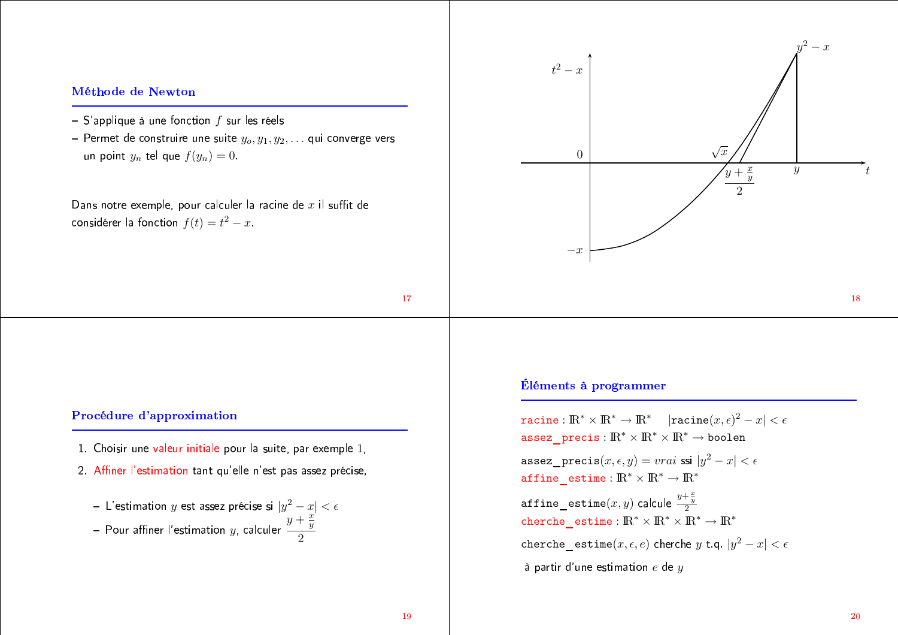# Méthode de Newton

- S'applique à une fonction  $f$  sur les réels
- Permet de construire une suite  $y_0, y_1, y_2, \ldots$  qui converge vers un point  $y_n$  tel que  $f(y_n) = 0$ .

Dans notre exemple, pour calculer la racine de  $x$  il suffit de considérer la fonction  $f(t) = t^2 - x$ .



#### Procédure d'approximation

- 1. Choisir une valeur initiale pour la suite, par exemple 1,
- 2. Affiner l'estimation tant qu'elle n'est pas assez précise.
	- L'estimation y est assez précise si  $|y^2 x| < \epsilon$ - Pour affiner l'estimation y, calculer  $\frac{y+\frac{x}{y}}{2}$

# Éléments à programmer

racine:  $\mathbb{R}^* \times \mathbb{R}^* \to \mathbb{R}^*$   $| \text{racine}(x, \epsilon)^2 - x | < \epsilon$ assez precis:  $\mathbb{R}^* \times \mathbb{R}^* \times \mathbb{R}^* \to$  boolen assez precis $(x, \epsilon, y) = vrai$  ssi  $|y^2 - x| < \epsilon$  $\texttt{affine~estime}: \mathbb{R}^* \times \mathbb{R}^* \rightarrow \mathbb{R}^*$  $\texttt{affine\_estimate}(x, y)$  calcule  $\frac{y + \frac{x}{y}}{2}$ cherche estime:  $\mathbb{R}^* \times \mathbb{R}^* \times \mathbb{R}^* \to \mathbb{R}^*$ cherche estime $(x, \epsilon, e)$  cherche y t.q.  $|y^2 - x| < \epsilon$ à partir d'une estimation  $e$  de  $y$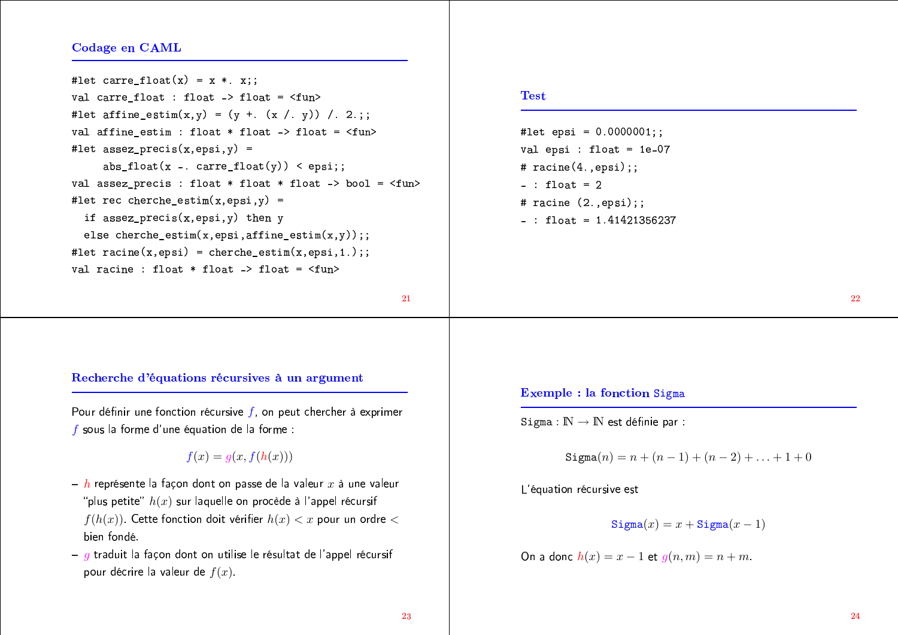### **Codage en CAML**

#let carre\_float(x) =  $x *$ .  $x$ ;; val carre\_float : float -> float =  $\text{Sum}$ > #let affine\_estim $(x,y) = (y + (x / y)) / (2$ ; val affine estim : float \* float -> float =  $\langle$ fun> #let assez\_precis $(x, epsi, y) =$  $abs_f$ loat(x -. carre\_float(y)) < epsi;; val assez\_precis : float \* float \* float -> bool =  $\langle$ fun> #let rec cherche\_estim $(x, epsi, y)$  = if assez\_precis $(x,epsi, y)$  then y else cherche\_estim(x,epsi,affine\_estim(x,y));; #let  $\text{racine}(x, \text{epsi}) = \text{cherche}\_ \text{estim}(x, \text{epsi}, 1.);$ val racine : float \* float -> float =  $\langle$ fun>

# 21

#### Recherche d'équations récursives à un argument

Pour définir une fonction récursive  $f$ , on peut chercher à exprimer f sous la forme d'une équation de la forme :

 $f(x) = q(x, f(h(x)))$ 

- $h$  représente la façon dont on passe de la valeur  $x$  à une valeur "plus petite"  $h(x)$  sur laquelle on procède à l'appel récursif  $f(h(x))$ . Cette fonction doit vérifier  $h(x) < x$  pour un ordre < bien fondé.
- $q$  traduit la façon dont on utilise le résultat de l'appel récursif pour décrire la valeur de  $f(x)$ .

#### **Test**

#let epsi =  $0.0000001$ ;; val epsi : float =  $1e-07$ #  $racine(4.,epsi);$  $-$ : float = 2 # racine  $(2.,epsi);$  $-$ : float = 1.41421356237

#### Exemple : la fonction Sigma

Sigma:  $\mathbb{N} \to \mathbb{N}$  est définie par :

 $\text{Sigma}(n) = n + (n - 1) + (n - 2) + ... + 1 + 0$ 

L'équation récursive est

$$
Sigma(x) = x + Sigma(x - 1)
$$

On a donc 
$$
h(x) = x - 1
$$
 et  $g(n, m) = n + m$ .

23

22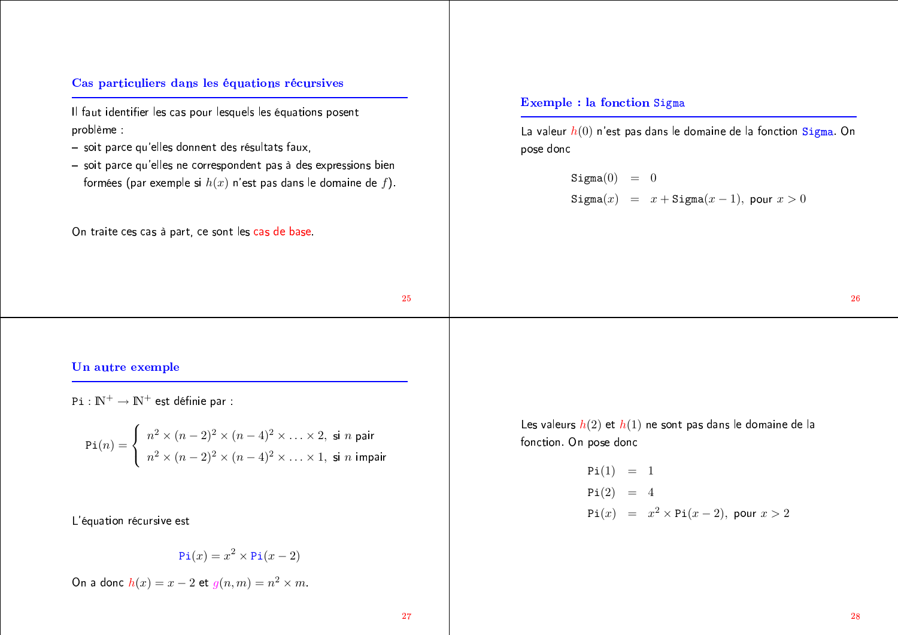# Cas particuliers dans les équations récursives

Il faut identifier les cas pour lesquels les équations posent problème :

- soit parce qu'elles donnent des résultats faux,
- soit parce qu'elles ne correspondent pas à des expressions bien formées (par exemple si  $h(x)$  n'est pas dans le domaine de f).

On traite ces cas à part, ce sont les cas de base.

### Exemple : la fonction Sigma

La valeur  $h(0)$  n'est pas dans le domaine de la fonction Sigma. On pose donc

> $Sigma(0) = 0$  $\text{Sigma}(x) = x + \text{Sigma}(x-1)$ , pour  $x > 0$

# 26

#### Un autre exemple

 $Pi: \mathbb{N}^+ \to \mathbb{N}^+$  est définie par :

$$
\text{Pi}(n) = \begin{cases} n^2 \times (n-2)^2 \times (n-4)^2 \times \ldots \times 2, \text{ si } n \text{ pair} \\ n^2 \times (n-2)^2 \times (n-4)^2 \times \ldots \times 1, \text{ si } n \text{ impair} \end{cases}
$$

L'équation récursive est

$$
\text{Pi}(x) = x^2 \times \text{Pi}(x-2)
$$

On a donc  $h(x) = x - 2$  et  $g(n, m) = n^2 \times m$ .

Les valeurs  $h(2)$  et  $h(1)$  ne sont pas dans le domaine de la fonction. On pose donc

$$
Pi(1) = 1
$$
  
\n
$$
Pi(2) = 4
$$
  
\n
$$
Pi(x) = x^2 \times Pi(x-2), \text{ pour } x > 2
$$